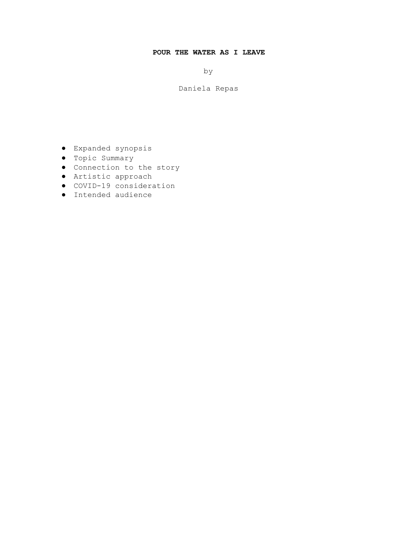# **POUR THE WATER AS I LEAVE**

by

Daniela Repas

- Expanded synopsis
- Topic Summary
- Connection to the story
- Artistic approach
- COVID-19 consideration
- Intended audience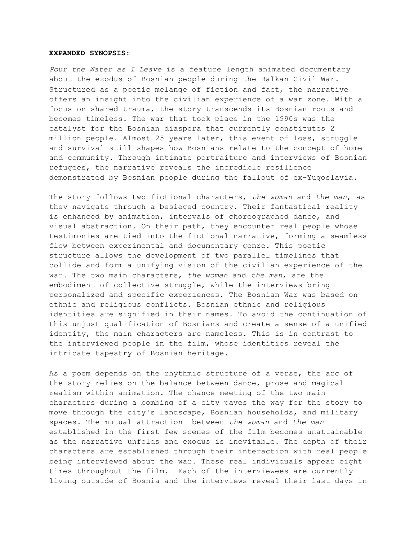### **EXPANDED SYNOPSIS:**

*Pour the Water as I Leave* is a feature length animated documentary about the exodus of Bosnian people during the Balkan Civil War. Structured as a poetic melange of fiction and fact, the narrative offers an insight into the civilian experience of a war zone. With a focus on shared trauma, the story transcends its Bosnian roots and becomes timeless. The war that took place in the 1990s was the catalyst for the Bosnian diaspora that currently constitutes 2 million people. Almost 25 years later, this event of loss, struggle and survival still shapes how Bosnians relate to the concept of home and community. Through intimate portraiture and interviews of Bosnian refugees, the narrative reveals the incredible resilience demonstrated by Bosnian people during the fallout of ex-Yugoslavia.

The story follows two fictional characters, *the woman* and *the man*, as they navigate through a besieged country. Their fantastical reality is enhanced by animation, intervals of choreographed dance, and visual abstraction. On their path, they encounter real people whose testimonies are tied into the fictional narrative, forming a seamless flow between experimental and documentary genre. This poetic structure allows the development of two parallel timelines that collide and form a unifying vision of the civilian experience of the war. The two main characters, *the woman* and *the man*, are the embodiment of collective struggle, while the interviews bring personalized and specific experiences. The Bosnian War was based on ethnic and religious conflicts. Bosnian ethnic and religious identities are signified in their names. To avoid the continuation of this unjust qualification of Bosnians and create a sense of a unified identity, the main characters are nameless. This is in contrast to the interviewed people in the film, whose identities reveal the intricate tapestry of Bosnian heritage.

As a poem depends on the rhythmic structure of a verse, the arc of the story relies on the balance between dance, prose and magical realism within animation. The chance meeting of the two main characters during a bombing of a city paves the way for the story to move through the city's landscape, Bosnian households, and military spaces. The mutual attraction between *the woman* and *the man* established in the first few scenes of the film becomes unattainable as the narrative unfolds and exodus is inevitable. The depth of their characters are established through their interaction with real people being interviewed about the war. These real individuals appear eight times throughout the film. Each of the interviewees are currently living outside of Bosnia and the interviews reveal their last days in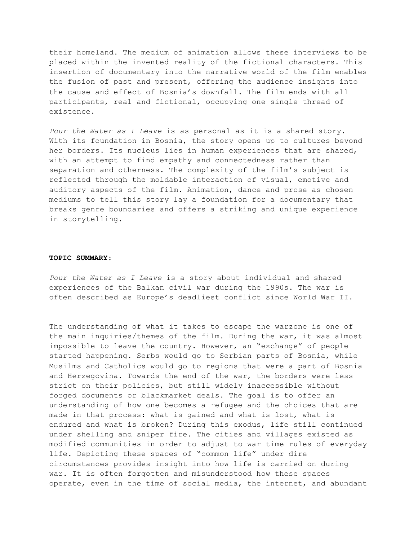their homeland. The medium of animation allows these interviews to be placed within the invented reality of the fictional characters. This insertion of documentary into the narrative world of the film enables the fusion of past and present, offering the audience insights into the cause and effect of Bosnia's downfall. The film ends with all participants, real and fictional, occupying one single thread of existence.

*Pour the Water as I Leave* is as personal as it is a shared story. With its foundation in Bosnia, the story opens up to cultures beyond her borders. Its nucleus lies in human experiences that are shared, with an attempt to find empathy and connectedness rather than separation and otherness. The complexity of the film's subject is reflected through the moldable interaction of visual, emotive and auditory aspects of the film. Animation, dance and prose as chosen mediums to tell this story lay a foundation for a documentary that breaks genre boundaries and offers a striking and unique experience in storytelling.

#### **TOPIC SUMMARY:**

*Pour the Water as I Leave* is a story about individual and shared experiences of the Balkan civil war during the 1990s. The war is often described as Europe's deadliest conflict since World War II.

The understanding of what it takes to escape the warzone is one of the main inquiries/themes of the film. During the war, it was almost impossible to leave the country. However, an "exchange" of people started happening. Serbs would go to Serbian parts of Bosnia, while Musilms and Catholics would go to regions that were a part of Bosnia and Herzegovina. Towards the end of the war, the borders were less strict on their policies, but still widely inaccessible without forged documents or blackmarket deals. The goal is to offer an understanding of how one becomes a refugee and the choices that are made in that process: what is gained and what is lost, what is endured and what is broken? During this exodus, life still continued under shelling and sniper fire. The cities and villages existed as modified communities in order to adjust to war time rules of everyday life. Depicting these spaces of "common life" under dire circumstances provides insight into how life is carried on during war. It is often forgotten and misunderstood how these spaces operate, even in the time of social media, the internet, and abundant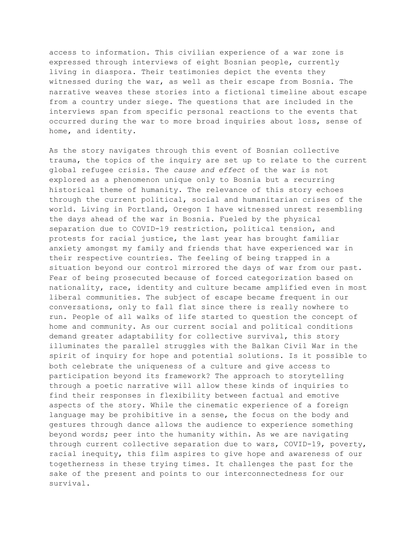access to information. This civilian experience of a war zone is expressed through interviews of eight Bosnian people, currently living in diaspora. Their testimonies depict the events they witnessed during the war, as well as their escape from Bosnia. The narrative weaves these stories into a fictional timeline about escape from a country under siege. The questions that are included in the interviews span from specific personal reactions to the events that occurred during the war to more broad inquiries about loss, sense of home, and identity.

As the story navigates through this event of Bosnian collective trauma, the topics of the inquiry are set up to relate to the current global refugee crisis. The *cause and effect* of the war is not explored as a phenomenon unique only to Bosnia but a recurring historical theme of humanity. The relevance of this story echoes through the current political, social and humanitarian crises of the world. Living in Portland, Oregon I have witnessed unrest resembling the days ahead of the war in Bosnia. Fueled by the physical separation due to COVID-19 restriction, political tension, and protests for racial justice, the last year has brought familiar anxiety amongst my family and friends that have experienced war in their respective countries. The feeling of being trapped in a situation beyond our control mirrored the days of war from our past. Fear of being prosecuted because of forced categorization based on nationality, race, identity and culture became amplified even in most liberal communities. The subject of escape became frequent in our conversations, only to fall flat since there is really nowhere to run. People of all walks of life started to question the concept of home and community. As our current social and political conditions demand greater adaptability for collective survival, this story illuminates the parallel struggles with the Balkan Civil War in the spirit of inquiry for hope and potential solutions. Is it possible to both celebrate the uniqueness of a culture and give access to participation beyond its framework? The approach to storytelling through a poetic narrative will allow these kinds of inquiries to find their responses in flexibility between factual and emotive aspects of the story. While the cinematic experience of a foreign language may be prohibitive in a sense, the focus on the body and gestures through dance allows the audience to experience something beyond words; peer into the humanity within. As we are navigating through current collective separation due to wars, COVID-19, poverty, racial inequity, this film aspires to give hope and awareness of our togetherness in these trying times. It challenges the past for the sake of the present and points to our interconnectedness for our survival.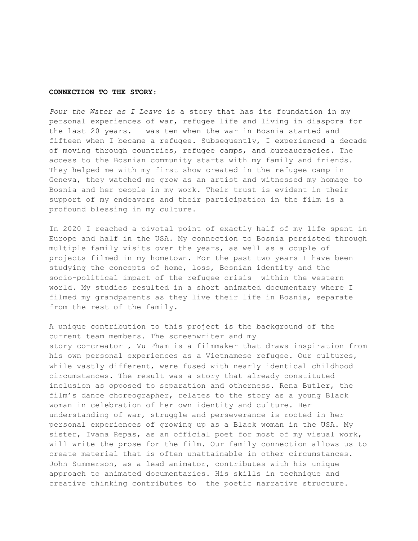#### **CONNECTION TO THE STORY:**

*Pour the Water as I Leave* is a story that has its foundation in my personal experiences of war, refugee life and living in diaspora for the last 20 years. I was ten when the war in Bosnia started and fifteen when I became a refugee. Subsequently, I experienced a decade of moving through countries, refugee camps, and bureaucracies. The access to the Bosnian community starts with my family and friends. They helped me with my first show created in the refugee camp in Geneva, they watched me grow as an artist and witnessed my homage to Bosnia and her people in my work. Their trust is evident in their support of my endeavors and their participation in the film is a profound blessing in my culture.

In 2020 I reached a pivotal point of exactly half of my life spent in Europe and half in the USA. My connection to Bosnia persisted through multiple family visits over the years, as well as a couple of projects filmed in my hometown. For the past two years I have been studying the concepts of home, loss, Bosnian identity and the socio-political impact of the refugee crisis within the western world. My studies resulted in a short animated documentary where I filmed my grandparents as they live their life in Bosnia, separate from the rest of the family.

A unique contribution to this project is the background of the current team members. The screenwriter and my story co-creator , Vu Pham is a filmmaker that draws inspiration from his own personal experiences as a Vietnamese refugee. Our cultures, while vastly different, were fused with nearly identical childhood circumstances. The result was a story that already constituted inclusion as opposed to separation and otherness. Rena Butler, the film's dance choreographer, relates to the story as a young Black woman in celebration of her own identity and culture. Her understanding of war, struggle and perseverance is rooted in her personal experiences of growing up as a Black woman in the USA. My sister, Ivana Repas, as an official poet for most of my visual work, will write the prose for the film. Our family connection allows us to create material that is often unattainable in other circumstances. John Summerson, as a lead animator, contributes with his unique approach to animated documentaries. His skills in technique and creative thinking contributes to the poetic narrative structure.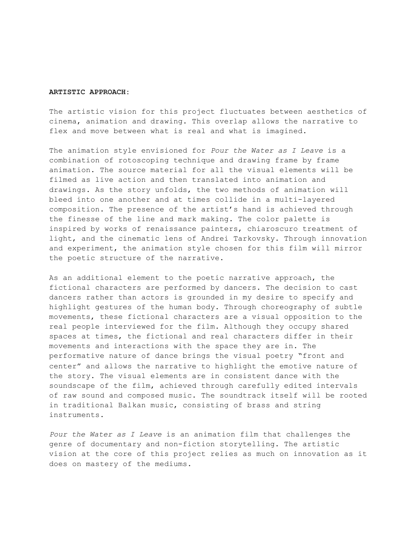#### **ARTISTIC APPROACH:**

The artistic vision for this project fluctuates between aesthetics of cinema, animation and drawing. This overlap allows the narrative to flex and move between what is real and what is imagined.

The animation style envisioned for *Pour the Water as I Leave* is a combination of rotoscoping technique and drawing frame by frame animation. The source material for all the visual elements will be filmed as live action and then translated into animation and drawings. As the story unfolds, the two methods of animation will bleed into one another and at times collide in a multi-layered composition. The presence of the artist's hand is achieved through the finesse of the line and mark making. The color palette is inspired by works of renaissance painters, chiaroscuro treatment of light, and the cinematic lens of Andrei Tarkovsky. Through innovation and experiment, the animation style chosen for this film will mirror the poetic structure of the narrative.

As an additional element to the poetic narrative approach, the fictional characters are performed by dancers. The decision to cast dancers rather than actors is grounded in my desire to specify and highlight gestures of the human body. Through choreography of subtle movements, these fictional characters are a visual opposition to the real people interviewed for the film. Although they occupy shared spaces at times, the fictional and real characters differ in their movements and interactions with the space they are in. The performative nature of dance brings the visual poetry "front and center" and allows the narrative to highlight the emotive nature of the story. The visual elements are in consistent dance with the soundscape of the film, achieved through carefully edited intervals of raw sound and composed music. The soundtrack itself will be rooted in traditional Balkan music, consisting of brass and string instruments.

*Pour the Water as I Leave* is an animation film that challenges the genre of documentary and non-fiction storytelling. The artistic vision at the core of this project relies as much on innovation as it does on mastery of the mediums.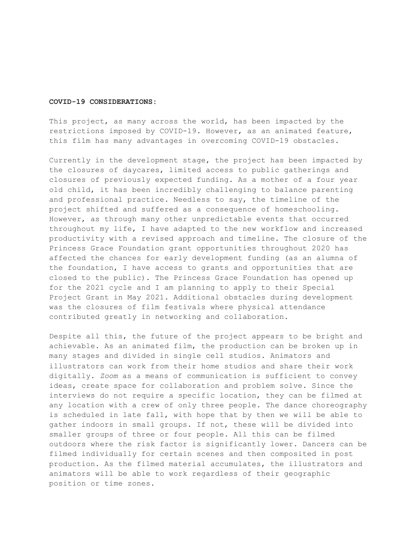## **COVID-19 CONSIDERATIONS:**

This project, as many across the world, has been impacted by the restrictions imposed by COVID-19. However, as an animated feature, this film has many advantages in overcoming COVID-19 obstacles.

Currently in the development stage, the project has been impacted by the closures of daycares, limited access to public gatherings and closures of previously expected funding. As a mother of a four year old child, it has been incredibly challenging to balance parenting and professional practice. Needless to say, the timeline of the project shifted and suffered as a consequence of homeschooling. However, as through many other unpredictable events that occurred throughout my life, I have adapted to the new workflow and increased productivity with a revised approach and timeline. The closure of the Princess Grace Foundation grant opportunities throughout 2020 has affected the chances for early development funding (as an alumna of the foundation, I have access to grants and opportunities that are closed to the public). The Princess Grace Foundation has opened up for the 2021 cycle and I am planning to apply to their Special Project Grant in May 2021. Additional obstacles during development was the closures of film festivals where physical attendance contributed greatly in networking and collaboration.

Despite all this, the future of the project appears to be bright and achievable. As an animated film, the production can be broken up in many stages and divided in single cell studios. Animators and illustrators can work from their home studios and share their work digitally. *Zoom* as a means of communication is sufficient to convey ideas, create space for collaboration and problem solve. Since the interviews do not require a specific location, they can be filmed at any location with a crew of only three people. The dance choreography is scheduled in late fall, with hope that by then we will be able to gather indoors in small groups. If not, these will be divided into smaller groups of three or four people. All this can be filmed outdoors where the risk factor is significantly lower. Dancers can be filmed individually for certain scenes and then composited in post production. As the filmed material accumulates, the illustrators and animators will be able to work regardless of their geographic position or time zones.